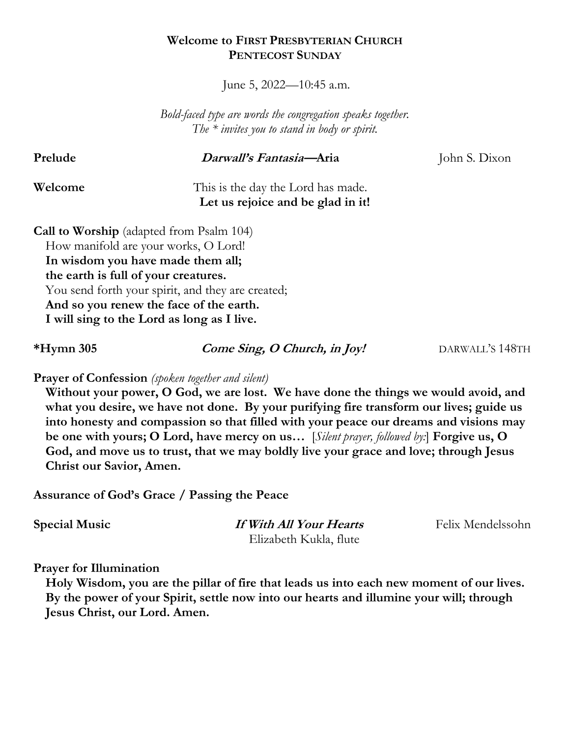### **Welcome to FIRST PRESBYTERIAN CHURCH PENTECOST SUNDAY**

June 5, 2022—10:45 a.m.

*Bold-faced type are words the congregation speaks together. The \* invites you to stand in body or spirit.* 

**Prelude Darwall's Fantasia—Aria** John S. Dixon

**Welcome** This is the day the Lord has made. **Let us rejoice and be glad in it!**

**Call to Worship** (adapted from Psalm 104) How manifold are your works, O Lord! **In wisdom you have made them all; the earth is full of your creatures.** You send forth your spirit, and they are created; **And so you renew the face of the earth. I will sing to the Lord as long as I live.**

**\*Hymn 305 Come Sing, O Church, in Joy!** DARWALL'S 148TH

**Prayer of Confession** *(spoken together and silent)*

**Without your power, O God, we are lost. We have done the things we would avoid, and what you desire, we have not done. By your purifying fire transform our lives; guide us into honesty and compassion so that filled with your peace our dreams and visions may be one with yours; O Lord, have mercy on us…** [*Silent prayer, followed by:*] **Forgive us, O God, and move us to trust, that we may boldly live your grace and love; through Jesus Christ our Savior, Amen.**

**Assurance of God's Grace / Passing the Peace**

**Special Music If With All Your Hearts** Felix Mendelssohn Elizabeth Kukla, flute

**Prayer for Illumination**

**Holy Wisdom, you are the pillar of fire that leads us into each new moment of our lives. By the power of your Spirit, settle now into our hearts and illumine your will; through Jesus Christ, our Lord. Amen.**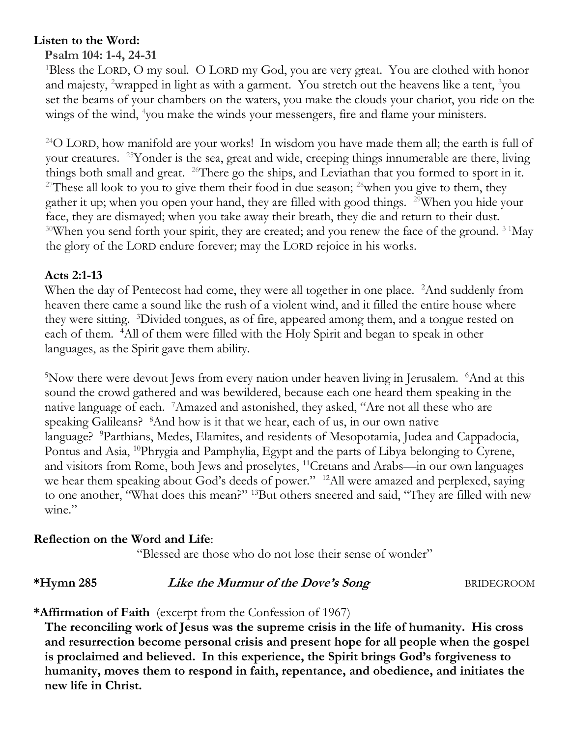## **Listen to the Word:**

## **Psalm 104: 1-4, 24-31**

<sup>1</sup>Bless the LORD, O my soul. O LORD my God, you are very great. You are clothed with honor and majesty, <sup>2</sup>wrapped in light as with a garment. You stretch out the heavens like a tent, <sup>3</sup>you set the beams of your chambers on the waters, you make the clouds your chariot, you ride on the wings of the wind, <sup>4</sup>you make the winds your messengers, fire and flame your ministers.

 $^{24}$ O LORD, how manifold are your works! In wisdom you have made them all; the earth is full of your creatures. <sup>25</sup>Yonder is the sea, great and wide, creeping things innumerable are there, living things both small and great. <sup>26</sup>There go the ships, and Leviathan that you formed to sport in it. <sup>27</sup>These all look to you to give them their food in due season; <sup>28</sup>when you give to them, they gather it up; when you open your hand, they are filled with good things. <sup>29</sup>When you hide your face, they are dismayed; when you take away their breath, they die and return to their dust. <sup>30</sup>When you send forth your spirit, they are created; and you renew the face of the ground. <sup>31</sup>May the glory of the LORD endure forever; may the LORD rejoice in his works.

# **Acts 2:1-13**

When the day of Pentecost had come, they were all together in one place. <sup>2</sup>And suddenly from heaven there came a sound like the rush of a violent wind, and it filled the entire house where they were sitting. <sup>3</sup>Divided tongues, as of fire, appeared among them, and a tongue rested on each of them. <sup>4</sup>All of them were filled with the Holy Spirit and began to speak in other languages, as the Spirit gave them ability.

<sup>5</sup>Now there were devout Jews from every nation under heaven living in Jerusalem. <sup>6</sup>And at this sound the crowd gathered and was bewildered, because each one heard them speaking in the native language of each. <sup>7</sup>Amazed and astonished, they asked, "Are not all these who are speaking Galileans? <sup>8</sup>And how is it that we hear, each of us, in our own native language? <sup>9</sup>Parthians, Medes, Elamites, and residents of Mesopotamia, Judea and Cappadocia, Pontus and Asia, <sup>10</sup>Phrygia and Pamphylia, Egypt and the parts of Libya belonging to Cyrene, and visitors from Rome, both Jews and proselytes, <sup>11</sup>Cretans and Arabs—in our own languages we hear them speaking about God's deeds of power." <sup>12</sup>All were amazed and perplexed, saying to one another, "What does this mean?" <sup>13</sup>But others sneered and said, "They are filled with new wine."

# **Reflection on the Word and Life**:

"Blessed are those who do not lose their sense of wonder"

### **\*Hymn 285** *Like the Murmur of the Dove's Song* **BRIDEGROOM**

# **\*Affirmation of Faith** (excerpt from the Confession of 1967)

**The reconciling work of Jesus was the supreme crisis in the life of humanity. His cross and resurrection become personal crisis and present hope for all people when the gospel is proclaimed and believed. In this experience, the Spirit brings God's forgiveness to humanity, moves them to respond in faith, repentance, and obedience, and initiates the new life in Christ.**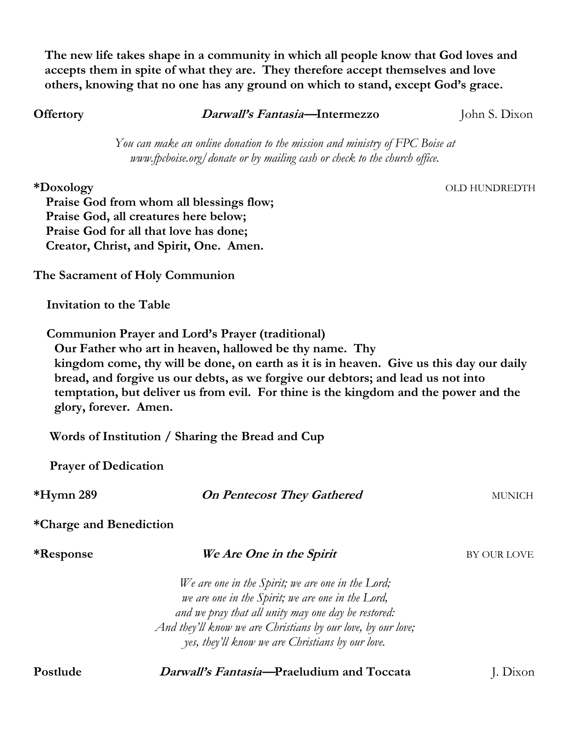**The new life takes shape in a community in which all people know that God loves and accepts them in spite of what they are. They therefore accept themselves and love others, knowing that no one has any ground on which to stand, except God's grace.**

**Offertory Darwall's Fantasia—Intermezzo** John S. Dixon

*You can make an online donation to the mission and ministry of FPC Boise at www.fpcboise.org/donate or by mailing cash or check to the church office.* 

**\*Doxology** OLD HUNDREDTH

**Praise God from whom all blessings flow; Praise God, all creatures here below; Praise God for all that love has done; Creator, Christ, and Spirit, One. Amen.** 

**The Sacrament of Holy Communion**

 **Invitation to the Table**

 **Communion Prayer and Lord's Prayer (traditional)**

**Our Father who art in heaven, hallowed be thy name. Thy kingdom come, thy will be done, on earth as it is in heaven. Give us this day our daily bread, and forgive us our debts, as we forgive our debtors; and lead us not into temptation, but deliver us from evil. For thine is the kingdom and the power and the glory, forever. Amen.**

 **Words of Institution / Sharing the Bread and Cup**

 **Prayer of Dedication**

**\*Hymn 289 On Pentecost They Gathered** MUNICH **\*Charge and Benediction \*Response** *We Are One in the Spirit* **BY OUR LOVE** 

> *We are one in the Spirit; we are one in the Lord; we are one in the Spirit; we are one in the Lord, and we pray that all unity may one day be restored: And they'll know we are Christians by our love, by our love; yes, they'll know we are Christians by our love.*

**Postlude Darwall's Fantasia—Praeludium and Toccata** J. Dixon